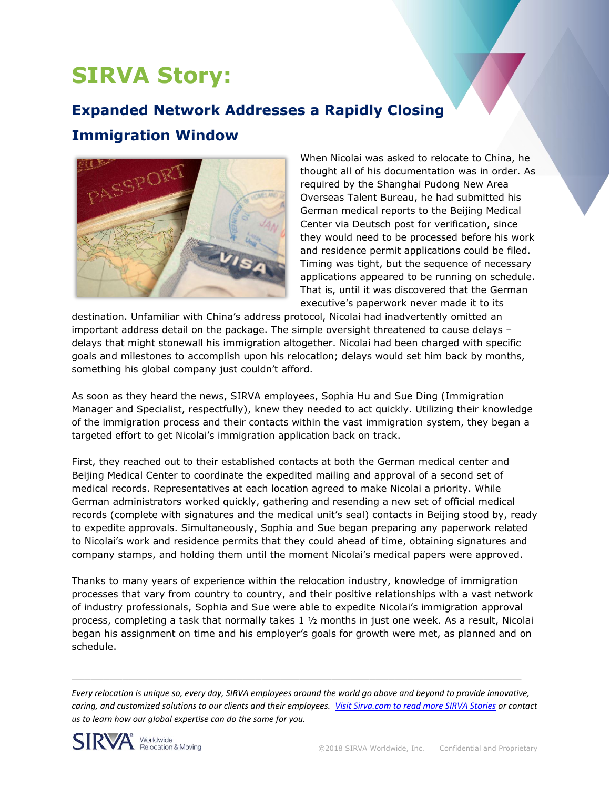# **SIRVA Story:**

## **Expanded Network Addresses a Rapidly Closing**

### **Immigration Window**



When Nicolai was asked to relocate to China, he thought all of his documentation was in order. As required by the Shanghai Pudong New Area Overseas Talent Bureau, he had submitted his German medical reports to the Beijing Medical Center via Deutsch post for verification, since they would need to be processed before his work and residence permit applications could be filed. Timing was tight, but the sequence of necessary applications appeared to be running on schedule. That is, until it was discovered that the German executive's paperwork never made it to its

destination. Unfamiliar with China's address protocol, Nicolai had inadvertently omitted an important address detail on the package. The simple oversight threatened to cause delays – delays that might stonewall his immigration altogether. Nicolai had been charged with specific goals and milestones to accomplish upon his relocation; delays would set him back by months, something his global company just couldn't afford.

As soon as they heard the news, SIRVA employees, Sophia Hu and Sue Ding (Immigration Manager and Specialist, respectfully), knew they needed to act quickly. Utilizing their knowledge of the immigration process and their contacts within the vast immigration system, they began a targeted effort to get Nicolai's immigration application back on track.

First, they reached out to their established contacts at both the German medical center and Beijing Medical Center to coordinate the expedited mailing and approval of a second set of medical records. Representatives at each location agreed to make Nicolai a priority. While German administrators worked quickly, gathering and resending a new set of official medical records (complete with signatures and the medical unit's seal) contacts in Beijing stood by, ready to expedite approvals. Simultaneously, Sophia and Sue began preparing any paperwork related to Nicolai's work and residence permits that they could ahead of time, obtaining signatures and company stamps, and holding them until the moment Nicolai's medical papers were approved.

Thanks to many years of experience within the relocation industry, knowledge of immigration processes that vary from country to country, and their positive relationships with a vast network of industry professionals, Sophia and Sue were able to expedite Nicolai's immigration approval process, completing a task that normally takes 1 ½ months in just one week. As a result, Nicolai began his assignment on time and his employer's goals for growth were met, as planned and on schedule.

*Every relocation is unique so, every day, SIRVA employees around the world go above and beyond to provide innovative, caring, and customized solutions to our clients and their employees. [Visit Sirva.com to read more SIRVA Stories](https://www.sirva.com/en-us/why-sirva/sirva-stories) or contact us to learn how our global expertise can do the same for you.*

 $\mathcal{L}_\mathcal{L} = \mathcal{L}_\mathcal{L} = \mathcal{L}_\mathcal{L} = \mathcal{L}_\mathcal{L} = \mathcal{L}_\mathcal{L} = \mathcal{L}_\mathcal{L} = \mathcal{L}_\mathcal{L} = \mathcal{L}_\mathcal{L} = \mathcal{L}_\mathcal{L} = \mathcal{L}_\mathcal{L} = \mathcal{L}_\mathcal{L} = \mathcal{L}_\mathcal{L} = \mathcal{L}_\mathcal{L} = \mathcal{L}_\mathcal{L} = \mathcal{L}_\mathcal{L} = \mathcal{L}_\mathcal{L} = \mathcal{L}_\mathcal{L}$